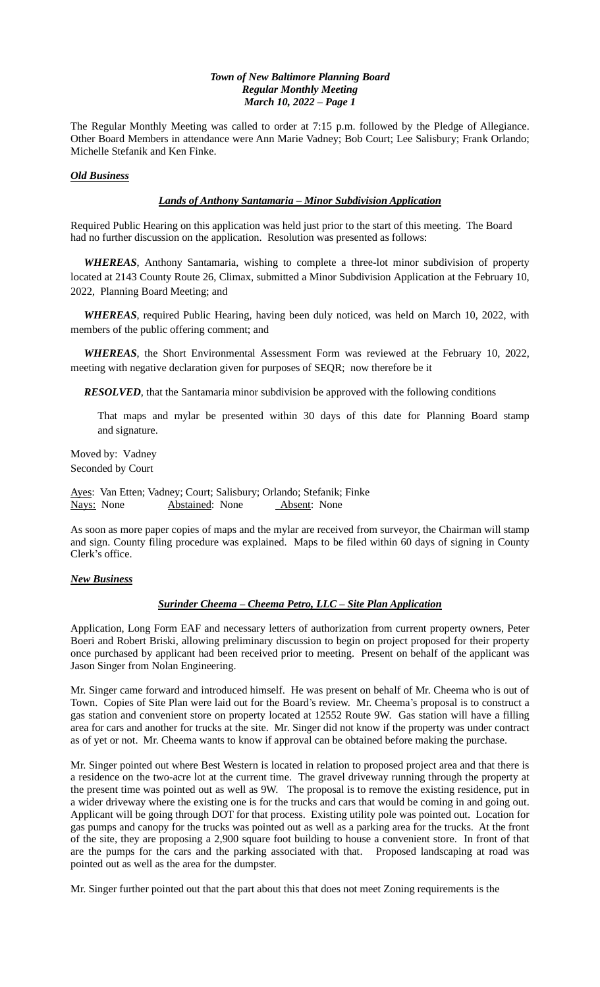The Regular Monthly Meeting was called to order at 7:15 p.m. followed by the Pledge of Allegiance. Other Board Members in attendance were Ann Marie Vadney; Bob Court; Lee Salisbury; Frank Orlando; Michelle Stefanik and Ken Finke.

## *Old Business*

# *Lands of Anthony Santamaria – Minor Subdivision Application*

Required Public Hearing on this application was held just prior to the start of this meeting. The Board had no further discussion on the application. Resolution was presented as follows:

 *WHEREAS*, Anthony Santamaria, wishing to complete a three-lot minor subdivision of property located at 2143 County Route 26, Climax, submitted a Minor Subdivision Application at the February 10, 2022, Planning Board Meeting; and

 *WHEREAS*, required Public Hearing, having been duly noticed, was held on March 10, 2022, with members of the public offering comment; and

 *WHEREAS*, the Short Environmental Assessment Form was reviewed at the February 10, 2022, meeting with negative declaration given for purposes of SEQR; now therefore be it

 *RESOLVED*, that the Santamaria minor subdivision be approved with the following conditions

 That maps and mylar be presented within 30 days of this date for Planning Board stamp and signature.

Moved by: Vadney Seconded by Court

Ayes: Van Etten; Vadney; Court; Salisbury; Orlando; Stefanik; Finke Nays: None Abstained: None Absent: None

As soon as more paper copies of maps and the mylar are received from surveyor, the Chairman will stamp and sign. County filing procedure was explained. Maps to be filed within 60 days of signing in County Clerk's office.

# *New Business*

## *Surinder Cheema – Cheema Petro, LLC – Site Plan Application*

Application, Long Form EAF and necessary letters of authorization from current property owners, Peter Boeri and Robert Briski, allowing preliminary discussion to begin on project proposed for their property once purchased by applicant had been received prior to meeting. Present on behalf of the applicant was Jason Singer from Nolan Engineering.

Mr. Singer came forward and introduced himself. He was present on behalf of Mr. Cheema who is out of Town. Copies of Site Plan were laid out for the Board's review. Mr. Cheema's proposal is to construct a gas station and convenient store on property located at 12552 Route 9W. Gas station will have a filling area for cars and another for trucks at the site. Mr. Singer did not know if the property was under contract as of yet or not. Mr. Cheema wants to know if approval can be obtained before making the purchase.

Mr. Singer pointed out where Best Western is located in relation to proposed project area and that there is a residence on the two-acre lot at the current time. The gravel driveway running through the property at the present time was pointed out as well as 9W. The proposal is to remove the existing residence, put in a wider driveway where the existing one is for the trucks and cars that would be coming in and going out. Applicant will be going through DOT for that process. Existing utility pole was pointed out. Location for gas pumps and canopy for the trucks was pointed out as well as a parking area for the trucks. At the front of the site, they are proposing a 2,900 square foot building to house a convenient store. In front of that are the pumps for the cars and the parking associated with that. Proposed landscaping at road was pointed out as well as the area for the dumpster.

Mr. Singer further pointed out that the part about this that does not meet Zoning requirements is the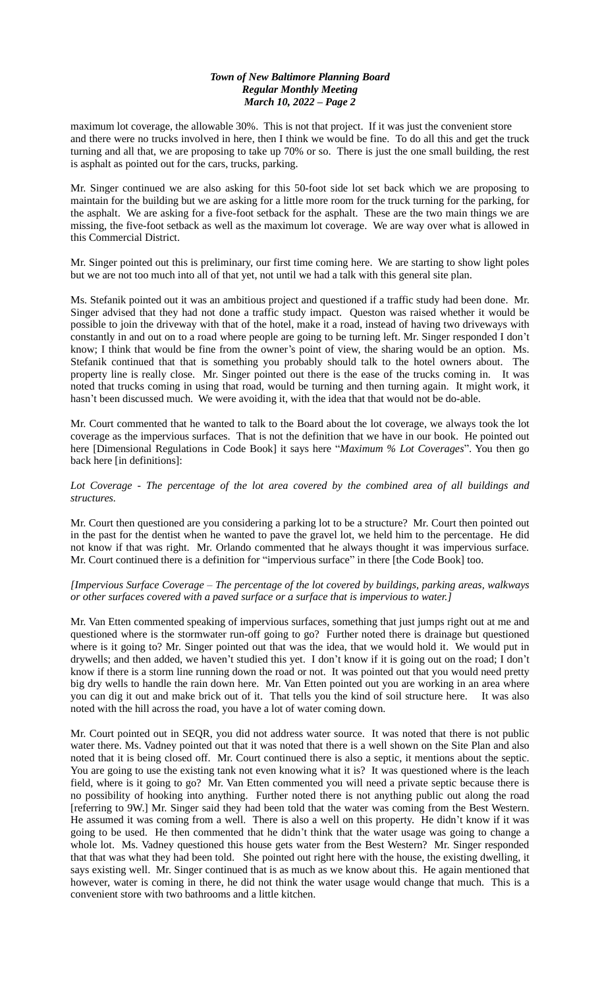maximum lot coverage, the allowable 30%. This is not that project. If it was just the convenient store and there were no trucks involved in here, then I think we would be fine. To do all this and get the truck turning and all that, we are proposing to take up 70% or so. There is just the one small building, the rest is asphalt as pointed out for the cars, trucks, parking.

Mr. Singer continued we are also asking for this 50-foot side lot set back which we are proposing to maintain for the building but we are asking for a little more room for the truck turning for the parking, for the asphalt. We are asking for a five-foot setback for the asphalt. These are the two main things we are missing, the five-foot setback as well as the maximum lot coverage. We are way over what is allowed in this Commercial District.

Mr. Singer pointed out this is preliminary, our first time coming here. We are starting to show light poles but we are not too much into all of that yet, not until we had a talk with this general site plan.

Ms. Stefanik pointed out it was an ambitious project and questioned if a traffic study had been done. Mr. Singer advised that they had not done a traffic study impact. Queston was raised whether it would be possible to join the driveway with that of the hotel, make it a road, instead of having two driveways with constantly in and out on to a road where people are going to be turning left. Mr. Singer responded I don't know; I think that would be fine from the owner's point of view, the sharing would be an option. Ms. Stefanik continued that that is something you probably should talk to the hotel owners about. The property line is really close. Mr. Singer pointed out there is the ease of the trucks coming in. It was noted that trucks coming in using that road, would be turning and then turning again. It might work, it hasn't been discussed much. We were avoiding it, with the idea that that would not be do-able.

Mr. Court commented that he wanted to talk to the Board about the lot coverage, we always took the lot coverage as the impervious surfaces. That is not the definition that we have in our book. He pointed out here [Dimensional Regulations in Code Book] it says here "*Maximum % Lot Coverages*". You then go back here [in definitions]:

*Lot Coverage* - *The percentage of the lot area covered by the combined area of all buildings and structures.*

Mr. Court then questioned are you considering a parking lot to be a structure? Mr. Court then pointed out in the past for the dentist when he wanted to pave the gravel lot, we held him to the percentage. He did not know if that was right. Mr. Orlando commented that he always thought it was impervious surface. Mr. Court continued there is a definition for "impervious surface" in there [the Code Book] too.

## *[Impervious Surface Coverage – The percentage of the lot covered by buildings, parking areas, walkways or other surfaces covered with a paved surface or a surface that is impervious to water.]*

Mr. Van Etten commented speaking of impervious surfaces, something that just jumps right out at me and questioned where is the stormwater run-off going to go? Further noted there is drainage but questioned where is it going to? Mr. Singer pointed out that was the idea, that we would hold it. We would put in drywells; and then added, we haven't studied this yet. I don't know if it is going out on the road; I don't know if there is a storm line running down the road or not. It was pointed out that you would need pretty big dry wells to handle the rain down here. Mr. Van Etten pointed out you are working in an area where you can dig it out and make brick out of it. That tells you the kind of soil structure here. It was also noted with the hill across the road, you have a lot of water coming down.

Mr. Court pointed out in SEQR, you did not address water source. It was noted that there is not public water there. Ms. Vadney pointed out that it was noted that there is a well shown on the Site Plan and also noted that it is being closed off. Mr. Court continued there is also a septic, it mentions about the septic. You are going to use the existing tank not even knowing what it is? It was questioned where is the leach field, where is it going to go? Mr. Van Etten commented you will need a private septic because there is no possibility of hooking into anything. Further noted there is not anything public out along the road [referring to 9W.] Mr. Singer said they had been told that the water was coming from the Best Western. He assumed it was coming from a well. There is also a well on this property. He didn't know if it was going to be used. He then commented that he didn't think that the water usage was going to change a whole lot. Ms. Vadney questioned this house gets water from the Best Western? Mr. Singer responded that that was what they had been told. She pointed out right here with the house, the existing dwelling, it says existing well. Mr. Singer continued that is as much as we know about this. He again mentioned that however, water is coming in there, he did not think the water usage would change that much. This is a convenient store with two bathrooms and a little kitchen.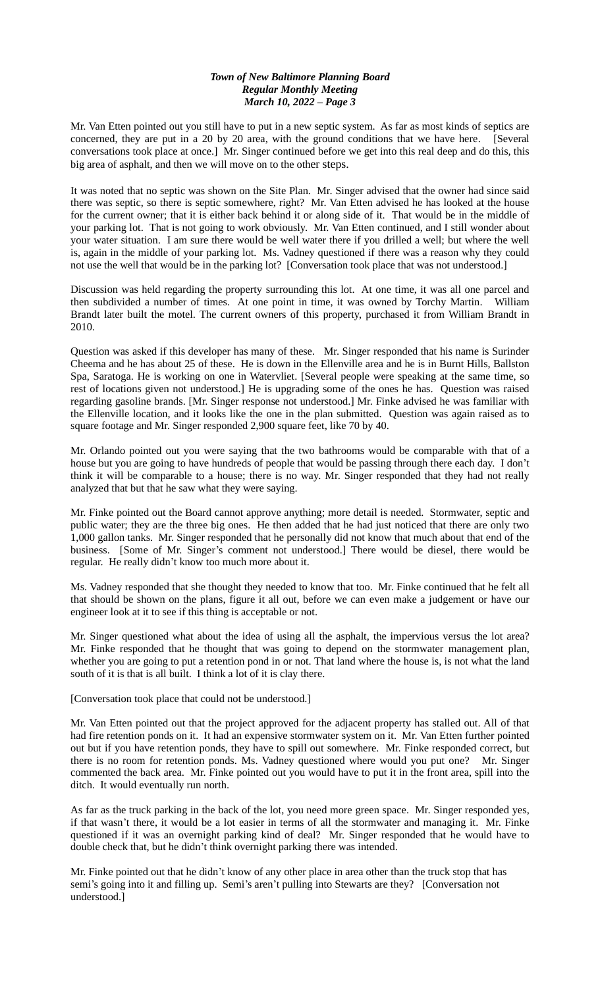Mr. Van Etten pointed out you still have to put in a new septic system. As far as most kinds of septics are concerned, they are put in a 20 by 20 area, with the ground conditions that we have here. [Several conversations took place at once.] Mr. Singer continued before we get into this real deep and do this, this big area of asphalt, and then we will move on to the other steps.

It was noted that no septic was shown on the Site Plan. Mr. Singer advised that the owner had since said there was septic, so there is septic somewhere, right? Mr. Van Etten advised he has looked at the house for the current owner; that it is either back behind it or along side of it. That would be in the middle of your parking lot. That is not going to work obviously. Mr. Van Etten continued, and I still wonder about your water situation. I am sure there would be well water there if you drilled a well; but where the well is, again in the middle of your parking lot. Ms. Vadney questioned if there was a reason why they could not use the well that would be in the parking lot? [Conversation took place that was not understood.]

Discussion was held regarding the property surrounding this lot. At one time, it was all one parcel and then subdivided a number of times. At one point in time, it was owned by Torchy Martin. William Brandt later built the motel. The current owners of this property, purchased it from William Brandt in 2010.

Question was asked if this developer has many of these. Mr. Singer responded that his name is Surinder Cheema and he has about 25 of these. He is down in the Ellenville area and he is in Burnt Hills, Ballston Spa, Saratoga. He is working on one in Watervliet. [Several people were speaking at the same time, so rest of locations given not understood.] He is upgrading some of the ones he has. Question was raised regarding gasoline brands. [Mr. Singer response not understood.] Mr. Finke advised he was familiar with the Ellenville location, and it looks like the one in the plan submitted. Question was again raised as to square footage and Mr. Singer responded 2,900 square feet, like 70 by 40.

Mr. Orlando pointed out you were saying that the two bathrooms would be comparable with that of a house but you are going to have hundreds of people that would be passing through there each day. I don't think it will be comparable to a house; there is no way. Mr. Singer responded that they had not really analyzed that but that he saw what they were saying.

Mr. Finke pointed out the Board cannot approve anything; more detail is needed. Stormwater, septic and public water; they are the three big ones. He then added that he had just noticed that there are only two 1,000 gallon tanks. Mr. Singer responded that he personally did not know that much about that end of the business. [Some of Mr. Singer's comment not understood.] There would be diesel, there would be regular. He really didn't know too much more about it.

Ms. Vadney responded that she thought they needed to know that too. Mr. Finke continued that he felt all that should be shown on the plans, figure it all out, before we can even make a judgement or have our engineer look at it to see if this thing is acceptable or not.

Mr. Singer questioned what about the idea of using all the asphalt, the impervious versus the lot area? Mr. Finke responded that he thought that was going to depend on the stormwater management plan, whether you are going to put a retention pond in or not. That land where the house is, is not what the land south of it is that is all built. I think a lot of it is clay there.

[Conversation took place that could not be understood.]

Mr. Van Etten pointed out that the project approved for the adjacent property has stalled out. All of that had fire retention ponds on it. It had an expensive stormwater system on it. Mr. Van Etten further pointed out but if you have retention ponds, they have to spill out somewhere. Mr. Finke responded correct, but there is no room for retention ponds. Ms. Vadney questioned where would you put one? Mr. Singer commented the back area. Mr. Finke pointed out you would have to put it in the front area, spill into the ditch. It would eventually run north.

As far as the truck parking in the back of the lot, you need more green space. Mr. Singer responded yes, if that wasn't there, it would be a lot easier in terms of all the stormwater and managing it. Mr. Finke questioned if it was an overnight parking kind of deal? Mr. Singer responded that he would have to double check that, but he didn't think overnight parking there was intended.

Mr. Finke pointed out that he didn't know of any other place in area other than the truck stop that has semi's going into it and filling up. Semi's aren't pulling into Stewarts are they? [Conversation not understood.]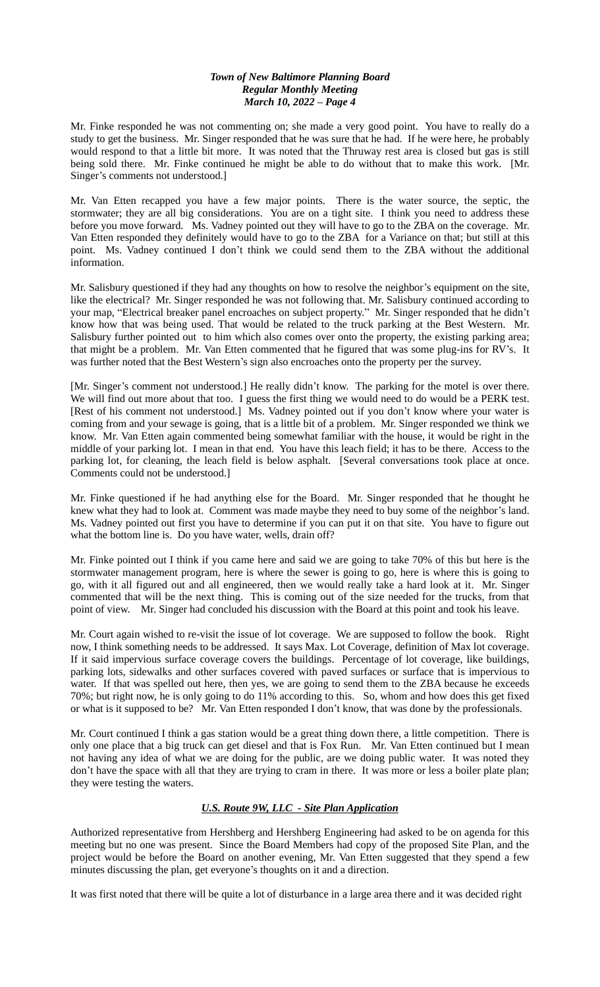Mr. Finke responded he was not commenting on; she made a very good point. You have to really do a study to get the business. Mr. Singer responded that he was sure that he had. If he were here, he probably would respond to that a little bit more. It was noted that the Thruway rest area is closed but gas is still being sold there. Mr. Finke continued he might be able to do without that to make this work. [Mr. Singer's comments not understood.]

Mr. Van Etten recapped you have a few major points. There is the water source, the septic, the stormwater; they are all big considerations. You are on a tight site. I think you need to address these before you move forward. Ms. Vadney pointed out they will have to go to the ZBA on the coverage. Mr. Van Etten responded they definitely would have to go to the ZBA for a Variance on that; but still at this point. Ms. Vadney continued I don't think we could send them to the ZBA without the additional information.

Mr. Salisbury questioned if they had any thoughts on how to resolve the neighbor's equipment on the site, like the electrical? Mr. Singer responded he was not following that. Mr. Salisbury continued according to your map, "Electrical breaker panel encroaches on subject property." Mr. Singer responded that he didn't know how that was being used. That would be related to the truck parking at the Best Western. Mr. Salisbury further pointed out to him which also comes over onto the property, the existing parking area; that might be a problem. Mr. Van Etten commented that he figured that was some plug-ins for RV's. It was further noted that the Best Western's sign also encroaches onto the property per the survey.

[Mr. Singer's comment not understood.] He really didn't know. The parking for the motel is over there. We will find out more about that too. I guess the first thing we would need to do would be a PERK test. [Rest of his comment not understood.] Ms. Vadney pointed out if you don't know where your water is coming from and your sewage is going, that is a little bit of a problem. Mr. Singer responded we think we know. Mr. Van Etten again commented being somewhat familiar with the house, it would be right in the middle of your parking lot. I mean in that end. You have this leach field; it has to be there. Access to the parking lot, for cleaning, the leach field is below asphalt. [Several conversations took place at once. Comments could not be understood.]

Mr. Finke questioned if he had anything else for the Board. Mr. Singer responded that he thought he knew what they had to look at. Comment was made maybe they need to buy some of the neighbor's land. Ms. Vadney pointed out first you have to determine if you can put it on that site. You have to figure out what the bottom line is. Do you have water, wells, drain off?

Mr. Finke pointed out I think if you came here and said we are going to take 70% of this but here is the stormwater management program, here is where the sewer is going to go, here is where this is going to go, with it all figured out and all engineered, then we would really take a hard look at it. Mr. Singer commented that will be the next thing. This is coming out of the size needed for the trucks, from that point of view. Mr. Singer had concluded his discussion with the Board at this point and took his leave.

Mr. Court again wished to re-visit the issue of lot coverage. We are supposed to follow the book. Right now, I think something needs to be addressed. It says Max. Lot Coverage, definition of Max lot coverage. If it said impervious surface coverage covers the buildings. Percentage of lot coverage, like buildings, parking lots, sidewalks and other surfaces covered with paved surfaces or surface that is impervious to water. If that was spelled out here, then yes, we are going to send them to the ZBA because he exceeds 70%; but right now, he is only going to do 11% according to this. So, whom and how does this get fixed or what is it supposed to be? Mr. Van Etten responded I don't know, that was done by the professionals.

Mr. Court continued I think a gas station would be a great thing down there, a little competition. There is only one place that a big truck can get diesel and that is Fox Run. Mr. Van Etten continued but I mean not having any idea of what we are doing for the public, are we doing public water. It was noted they don't have the space with all that they are trying to cram in there. It was more or less a boiler plate plan; they were testing the waters.

# *U.S. Route 9W, LLC - Site Plan Application*

Authorized representative from Hershberg and Hershberg Engineering had asked to be on agenda for this meeting but no one was present. Since the Board Members had copy of the proposed Site Plan, and the project would be before the Board on another evening, Mr. Van Etten suggested that they spend a few minutes discussing the plan, get everyone's thoughts on it and a direction.

It was first noted that there will be quite a lot of disturbance in a large area there and it was decided right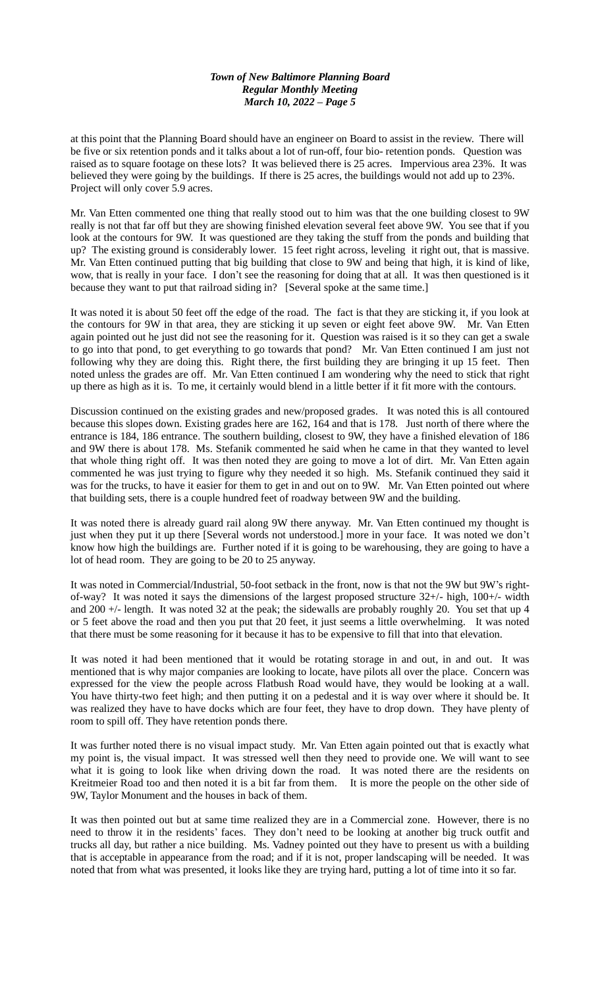at this point that the Planning Board should have an engineer on Board to assist in the review. There will be five or six retention ponds and it talks about a lot of run-off, four bio- retention ponds. Question was raised as to square footage on these lots? It was believed there is 25 acres. Impervious area 23%. It was believed they were going by the buildings. If there is 25 acres, the buildings would not add up to 23%. Project will only cover 5.9 acres.

Mr. Van Etten commented one thing that really stood out to him was that the one building closest to 9W really is not that far off but they are showing finished elevation several feet above 9W. You see that if you look at the contours for 9W. It was questioned are they taking the stuff from the ponds and building that up? The existing ground is considerably lower. 15 feet right across, leveling it right out, that is massive. Mr. Van Etten continued putting that big building that close to 9W and being that high, it is kind of like, wow, that is really in your face. I don't see the reasoning for doing that at all. It was then questioned is it because they want to put that railroad siding in? [Several spoke at the same time.]

It was noted it is about 50 feet off the edge of the road. The fact is that they are sticking it, if you look at the contours for 9W in that area, they are sticking it up seven or eight feet above 9W. Mr. Van Etten again pointed out he just did not see the reasoning for it. Question was raised is it so they can get a swale to go into that pond, to get everything to go towards that pond? Mr. Van Etten continued I am just not following why they are doing this. Right there, the first building they are bringing it up 15 feet. Then noted unless the grades are off. Mr. Van Etten continued I am wondering why the need to stick that right up there as high as it is. To me, it certainly would blend in a little better if it fit more with the contours.

Discussion continued on the existing grades and new/proposed grades. It was noted this is all contoured because this slopes down. Existing grades here are 162, 164 and that is 178. Just north of there where the entrance is 184, 186 entrance. The southern building, closest to 9W, they have a finished elevation of 186 and 9W there is about 178. Ms. Stefanik commented he said when he came in that they wanted to level that whole thing right off. It was then noted they are going to move a lot of dirt. Mr. Van Etten again commented he was just trying to figure why they needed it so high. Ms. Stefanik continued they said it was for the trucks, to have it easier for them to get in and out on to 9W. Mr. Van Etten pointed out where that building sets, there is a couple hundred feet of roadway between 9W and the building.

It was noted there is already guard rail along 9W there anyway. Mr. Van Etten continued my thought is just when they put it up there [Several words not understood.] more in your face. It was noted we don't know how high the buildings are. Further noted if it is going to be warehousing, they are going to have a lot of head room. They are going to be 20 to 25 anyway.

It was noted in Commercial/Industrial, 50-foot setback in the front, now is that not the 9W but 9W's rightof-way? It was noted it says the dimensions of the largest proposed structure 32+/- high, 100+/- width and 200 +/- length. It was noted 32 at the peak; the sidewalls are probably roughly 20. You set that up 4 or 5 feet above the road and then you put that 20 feet, it just seems a little overwhelming. It was noted that there must be some reasoning for it because it has to be expensive to fill that into that elevation.

It was noted it had been mentioned that it would be rotating storage in and out, in and out. It was mentioned that is why major companies are looking to locate, have pilots all over the place. Concern was expressed for the view the people across Flatbush Road would have, they would be looking at a wall. You have thirty-two feet high; and then putting it on a pedestal and it is way over where it should be. It was realized they have to have docks which are four feet, they have to drop down. They have plenty of room to spill off. They have retention ponds there.

It was further noted there is no visual impact study. Mr. Van Etten again pointed out that is exactly what my point is, the visual impact. It was stressed well then they need to provide one. We will want to see what it is going to look like when driving down the road. It was noted there are the residents on Kreitmeier Road too and then noted it is a bit far from them. It is more the people on the other side of 9W, Taylor Monument and the houses in back of them.

It was then pointed out but at same time realized they are in a Commercial zone. However, there is no need to throw it in the residents' faces. They don't need to be looking at another big truck outfit and trucks all day, but rather a nice building. Ms. Vadney pointed out they have to present us with a building that is acceptable in appearance from the road; and if it is not, proper landscaping will be needed. It was noted that from what was presented, it looks like they are trying hard, putting a lot of time into it so far.